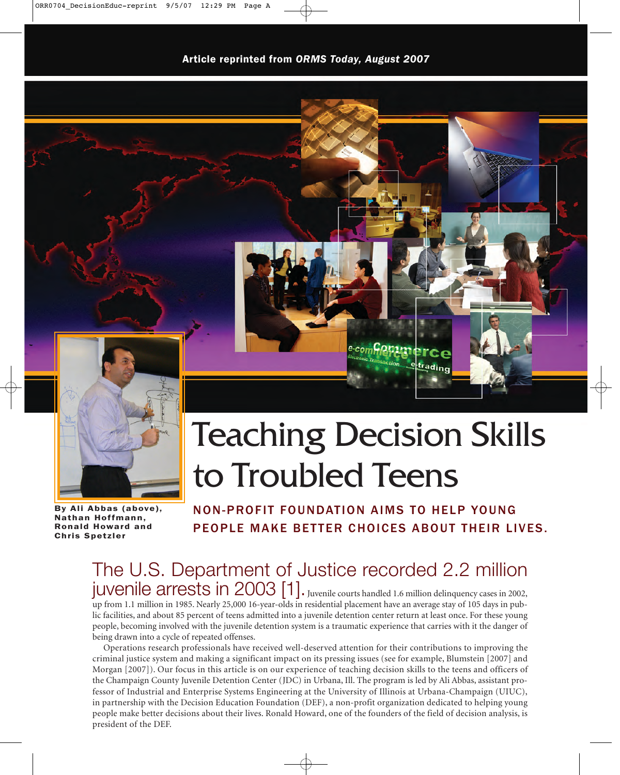



By Ali Abbas (above), Nathan Hoffmann, Ronald Howard and Chris Spetzler

# Teaching Decision Skills to Troubled Teens

NON-PROFIT FOUNDATION AIMS TO HELP YOUNG PEOPLE MAKE BETTER CHOICES ABOUT THEIR LIVES.

# $juv$ enile arrests in 2003 [1]. Juvenile courts handled 1.6 million delinquency cases in 2002, The U.S. Department of Justice recorded 2.2 million

up from 1.1 million in 1985. Nearly 25,000 16-year-olds in residential placement have an average stay of 105 days in public facilities, and about 85 percent of teens admitted into a juvenile detention center return at least once. For these young people, becoming involved with the juvenile detention system is a traumatic experience that carries with it the danger of being drawn into a cycle of repeated offenses.

Operations research professionals have received well-deserved attention for their contributions to improving the criminal justice system and making a significant impact on its pressing issues (see for example, Blumstein [2007] and Morgan [2007]). Our focus in this article is on our experience of teaching decision skills to the teens and officers of the Champaign County Juvenile Detention Center (JDC) in Urbana, Ill. The program is led by Ali Abbas, assistant professor of Industrial and Enterprise Systems Engineering at the University of Illinois at Urbana-Champaign (UIUC), in partnership with the Decision Education Foundation (DEF), a non-profit organization dedicated to helping young people make better decisions about their lives. Ronald Howard, one of the founders of the field of decision analysis, is president of the DEF.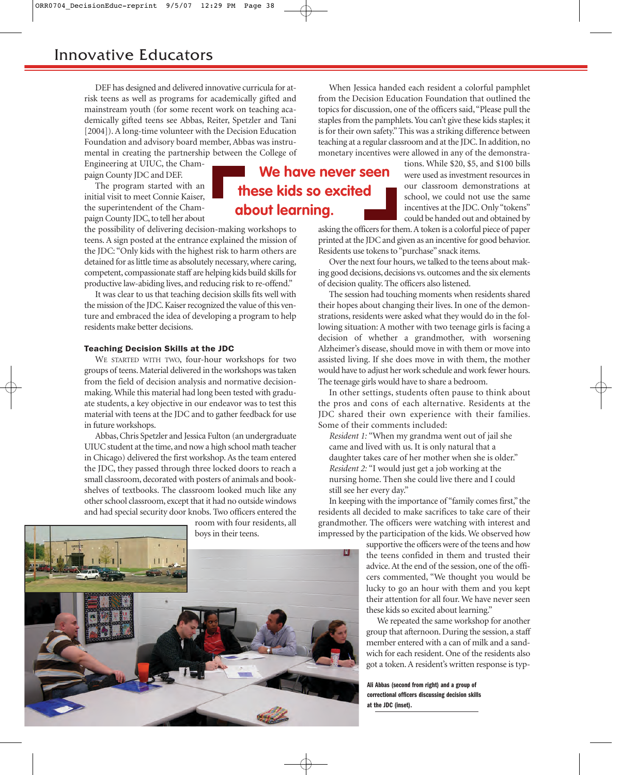DEF has designed and delivered innovative curricula for atrisk teens as well as programs for academically gifted and mainstream youth (for some recent work on teaching academically gifted teens see Abbas, Reiter, Spetzler and Tani [2004]). A long-time volunteer with the Decision Education Foundation and advisory board member, Abbas was instrumental in creating the partnership between the College of

Engineering at UIUC, the Champaign County JDC and DEF.

The program started with an initial visit to meet Connie Kaiser, the superintendent of the Champaign County JDC, to tell her about

the possibility of delivering decision-making workshops to teens. A sign posted at the entrance explained the mission of the JDC: "Only kids with the highest risk to harm others are detained for as little time as absolutely necessary, where caring, competent, compassionate staff are helping kids build skills for productive law-abiding lives, and reducing risk to re-offend."

It was clear to us that teaching decision skills fits well with the mission of the JDC. Kaiser recognized the value of this venture and embraced the idea of developing a program to help residents make better decisions.

# Teaching Decision Skills at the JDC

WE STARTED WITH TWO, four-hour workshops for two groups of teens. Material delivered in the workshops was taken from the field of decision analysis and normative decisionmaking. While this material had long been tested with graduate students, a key objective in our endeavor was to test this material with teens at the JDC and to gather feedback for use in future workshops.

Abbas, Chris Spetzler and Jessica Fulton (an undergraduate UIUC student at the time, and now a high school math teacher in Chicago) delivered the first workshop. As the team entered the JDC, they passed through three locked doors to reach a small classroom, decorated with posters of animals and bookshelves of textbooks. The classroom looked much like any other school classroom, except that it had no outside windows and had special security door knobs. Two officers entered the

> room with four residents, all boys in their teens.



When Jessica handed each resident a colorful pamphlet from the Decision Education Foundation that outlined the topics for discussion, one of the officers said,"Please pull the staples from the pamphlets. You can't give these kids staples; it is for their own safety." This was a striking difference between teaching at a regular classroom and at the JDC. In addition, no monetary incentives were allowed in any of the demonstra-

**We have never seen**

**these kids so excited**

**about learning.**

tions. While \$20, \$5, and \$100 bills were used as investment resources in our classroom demonstrations at school, we could not use the same incentives at the JDC. Only "tokens" could be handed out and obtained by

asking the officers for them. A token is a colorful piece of paper printed at the JDC and given as an incentive for good behavior. Residents use tokens to "purchase" snack items.

Over the next four hours, we talked to the teens about making good decisions, decisions vs. outcomes and the six elements of decision quality. The officers also listened.

The session had touching moments when residents shared their hopes about changing their lives. In one of the demonstrations, residents were asked what they would do in the following situation: A mother with two teenage girls is facing a decision of whether a grandmother, with worsening Alzheimer's disease, should move in with them or move into assisted living. If she does move in with them, the mother would have to adjust her work schedule and work fewer hours. The teenage girls would have to share a bedroom.

In other settings, students often pause to think about the pros and cons of each alternative. Residents at the JDC shared their own experience with their families. Some of their comments included:

*Resident 1:* "When my grandma went out of jail she came and lived with us. It is only natural that a daughter takes care of her mother when she is older." *Resident 2:* "I would just get a job working at the nursing home. Then she could live there and I could still see her every day."

In keeping with the importance of "family comes first," the residents all decided to make sacrifices to take care of their grandmother. The officers were watching with interest and impressed by the participation of the kids. We observed how

> supportive the officers were of the teens and how the teens confided in them and trusted their advice. At the end of the session, one of the officers commented, "We thought you would be lucky to go an hour with them and you kept their attention for all four. We have never seen these kids so excited about learning."

> We repeated the same workshop for another group that afternoon. During the session, a staff member entered with a can of milk and a sandwich for each resident. One of the residents also got a token. A resident's written response is typ-

Ali Abbas (second from right) and a group of correctional officers discussing decision skills at the JDC (inset).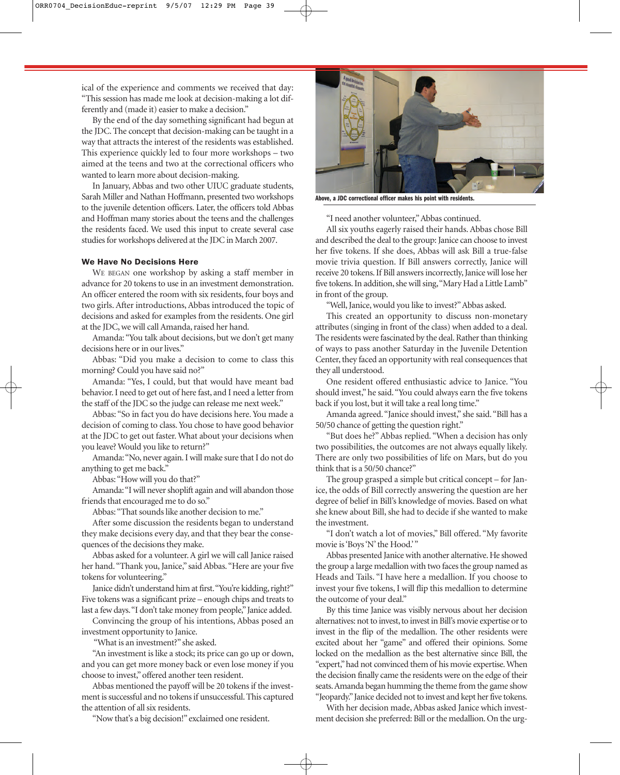ical of the experience and comments we received that day: "This session has made me look at decision-making a lot differently and (made it) easier to make a decision."

By the end of the day something significant had begun at the JDC. The concept that decision-making can be taught in a way that attracts the interest of the residents was established. This experience quickly led to four more workshops – two aimed at the teens and two at the correctional officers who wanted to learn more about decision-making.

In January, Abbas and two other UIUC graduate students, Sarah Miller and Nathan Hoffmann, presented two workshops to the juvenile detention officers. Later, the officers told Abbas and Hoffman many stories about the teens and the challenges the residents faced. We used this input to create several case studies for workshops delivered at the JDC in March 2007.

#### We Have No Decisions Here

WE BEGAN one workshop by asking a staff member in advance for 20 tokens to use in an investment demonstration. An officer entered the room with six residents, four boys and two girls. After introductions, Abbas introduced the topic of decisions and asked for examples from the residents. One girl at the JDC, we will call Amanda, raised her hand.

Amanda: "You talk about decisions, but we don't get many decisions here or in our lives."

Abbas: "Did you make a decision to come to class this morning? Could you have said no?"

Amanda: "Yes, I could, but that would have meant bad behavior. I need to get out of here fast, and I need a letter from the staff of the JDC so the judge can release me next week."

Abbas: "So in fact you do have decisions here. You made a decision of coming to class. You chose to have good behavior at the JDC to get out faster. What about your decisions when you leave? Would you like to return?"

Amanda:"No, never again. I will make sure that I do not do anything to get me back."

Abbas:"How will you do that?"

Amanda:"I will never shoplift again and will abandon those friends that encouraged me to do so."

Abbas:"That sounds like another decision to me."

After some discussion the residents began to understand they make decisions every day, and that they bear the consequences of the decisions they make.

Abbas asked for a volunteer. A girl we will call Janice raised her hand."Thank you, Janice," said Abbas."Here are your five tokens for volunteering."

Janice didn't understand him at first."You're kidding, right?" Five tokens was a significant prize – enough chips and treats to last a few days."I don't take money from people,"Janice added.

Convincing the group of his intentions, Abbas posed an investment opportunity to Janice.

"What is an investment?" she asked.

"An investment is like a stock; its price can go up or down, and you can get more money back or even lose money if you choose to invest," offered another teen resident.

Abbas mentioned the payoff will be 20 tokens if the investment is successful and no tokens if unsuccessful. This captured the attention of all six residents.

"Now that's a big decision!" exclaimed one resident.



Above, a JDC correctional officer makes his point with residents.

"I need another volunteer,"Abbas continued.

All six youths eagerly raised their hands. Abbas chose Bill and described the deal to the group: Janice can choose to invest her five tokens. If she does, Abbas will ask Bill a true-false movie trivia question. If Bill answers correctly, Janice will receive 20 tokens. If Bill answers incorrectly, Janice will lose her five tokens. In addition, she will sing,"Mary Had a Little Lamb" in front of the group.

"Well, Janice, would you like to invest?"Abbas asked.

This created an opportunity to discuss non-monetary attributes (singing in front of the class) when added to a deal. The residents were fascinated by the deal. Rather than thinking of ways to pass another Saturday in the Juvenile Detention Center, they faced an opportunity with real consequences that they all understood.

One resident offered enthusiastic advice to Janice. "You should invest," he said."You could always earn the five tokens back if you lost, but it will take a real long time."

Amanda agreed."Janice should invest," she said."Bill has a 50/50 chance of getting the question right."

"But does he?" Abbas replied. "When a decision has only two possibilities, the outcomes are not always equally likely. There are only two possibilities of life on Mars, but do you think that is a 50/50 chance?"

The group grasped a simple but critical concept – for Janice, the odds of Bill correctly answering the question are her degree of belief in Bill's knowledge of movies. Based on what she knew about Bill, she had to decide if she wanted to make the investment.

"I don't watch a lot of movies," Bill offered. "My favorite movie is 'Boys 'N' the Hood.'"

Abbas presented Janice with another alternative. He showed the group a large medallion with two faces the group named as Heads and Tails. "I have here a medallion. If you choose to invest your five tokens, I will flip this medallion to determine the outcome of your deal."

By this time Janice was visibly nervous about her decision alternatives: not to invest, to invest in Bill's movie expertise or to invest in the flip of the medallion. The other residents were excited about her "game" and offered their opinions. Some locked on the medallion as the best alternative since Bill, the "expert,"had not convinced them of his movie expertise. When the decision finally came the residents were on the edge of their seats.Amanda began humming the theme from the game show "Jeopardy."Janice decided not to invest and kept her five tokens.

With her decision made, Abbas asked Janice which investment decision she preferred: Bill or the medallion. On the urg